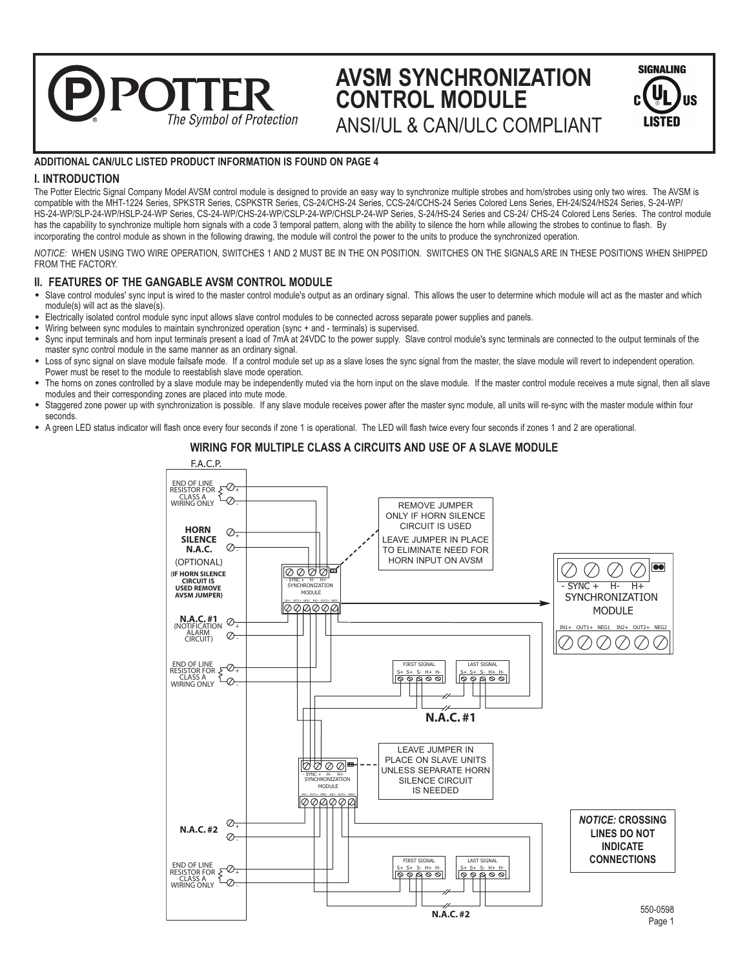# **AVSM SYNCHRONIZATION CONTROL MODULE**

| <b>SIGNALING</b>  |            |
|-------------------|------------|
| U<br>C.<br>LISTED | <b>Jus</b> |

ANSI/UL & CAN/ULC COMPLIANT

# **ADDITIONAL CAN/ULC LISTED PRODUCT INFORMATION IS FOUND ON PAGE 4**

The Symbol of Protection

**2011** 

# **I. INTRODUCTION**

The Potter Electric Signal Company Model AVSM control module is designed to provide an easy way to synchronize multiple strobes and horn/strobes using only two wires. The AVSM is compatible with the MHT-1224 Series, SPKSTR Series, CSPKSTR Series, CS-24/CHS-24 Series, CCS-24/CCHS-24 Series Colored Lens Series, EH-24/S24/HS24 Series, S-24-WP/ HS-24-WP/SLP-24-WP/HSLP-24-WP Series, CS-24-WP/CHS-24-WP/CSLP-24-WP/CHSLP-24-WP Series, S-24/HS-24 Series and CS-24/ CHS-24 Colored Lens Series. The control module has the capability to synchronize multiple horn signals with a code 3 temporal pattern, along with the ability to silence the horn while allowing the strobes to continue to flash. By incorporating the control module as shown in the following drawing, the module will control the power to the units to produce the synchronized operation.

*NOTICE:* WHEN USING TWO WIRE OPERATION, SWITCHES 1 AND 2 MUST BE IN THE ON POSITION. SWITCHES ON THE SIGNALS ARE IN THESE POSITIONS WHEN SHIPPED FROM THE FACTORY.

# **II. FEATURES OF THE GANGABLE AVSM CONTROL MODULE**

- Slave control modules' sync input is wired to the master control module's output as an ordinary signal. This allows the user to determine which module will act as the master and which module(s) will act as the slave(s).
- Electrically isolated control module sync input allows slave control modules to be connected across separate power supplies and panels.
- Wiring between sync modules to maintain synchronized operation (sync + and terminals) is supervised.
- Sync input terminals and horn input terminals present a load of 7mA at 24VDC to the power supply. Slave control module's sync terminals are connected to the output terminals of the master synchronomial module in the same manner as an ordinary signal.
- Loss of sync signal on slave module failsafe mode. If a control module set up as a slave loses the sync signal from the master, the slave module will revert to independent operation. Power must be reset to the module to reestablish slave mode operation.
- The horns on zones controlled by a slave module may be independently muted via the horn input on the slave module. If the master control module receives a mute signal, then all slave modules and their corresponding zones are placed into mute mode.
- w Staggered zone power up with synchronization is possible. If any slave module receives power after the master sync module, all units will re-sync with the master module within four seconds.
- \* A green LED status indicator will flash once every four seconds if zone 1 is operational. The LED will flash twice every four seconds if zones 1 and 2 are operational.

# **WIRING FOR MULTIPLE CLASS A CIRCUITS AND USE OF A SLAVE MODULE**

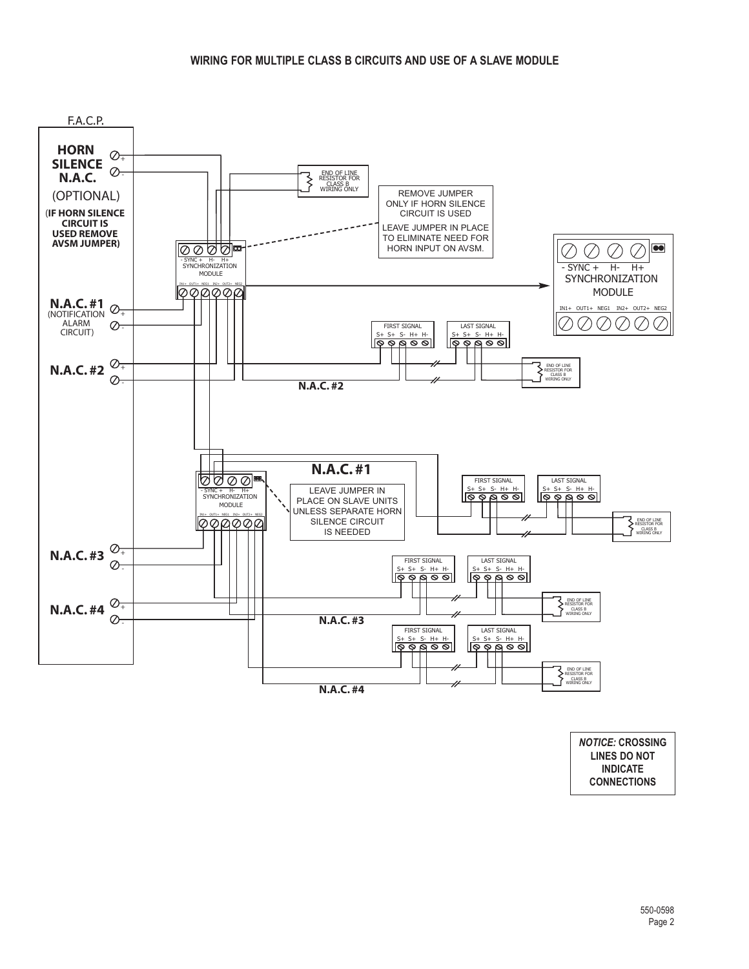

*NOTICE:* **CROSSING LINES DO NOT INDICATE CONNECTIONS**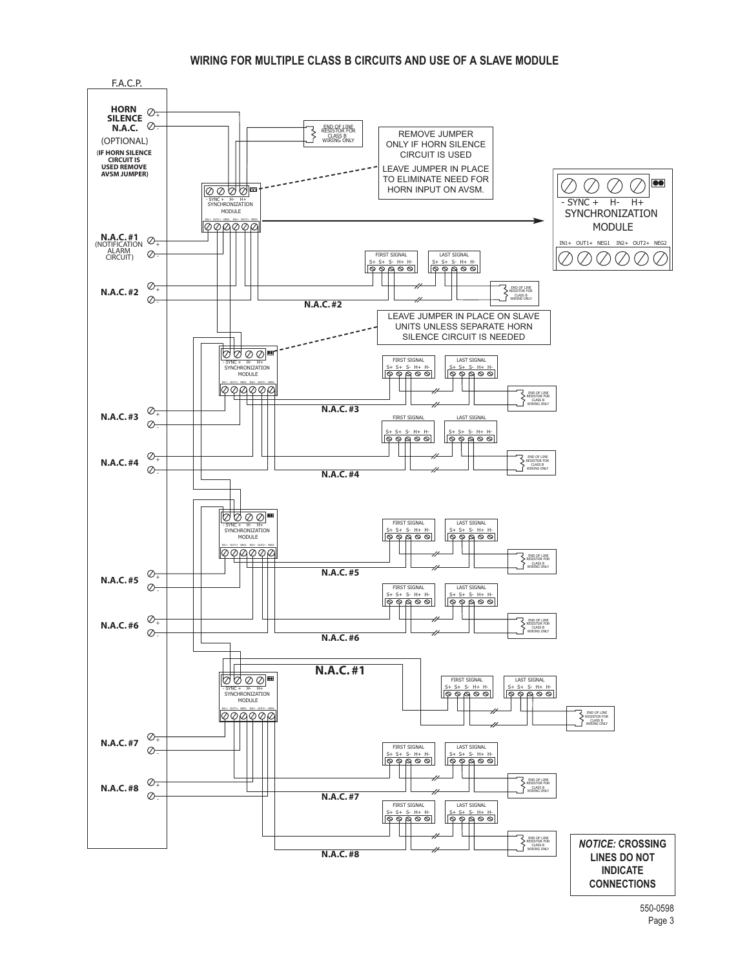### **WIRING FOR MULTIPLE CLASS B CIRCUITS AND USE OF A SLAVE MODULE**

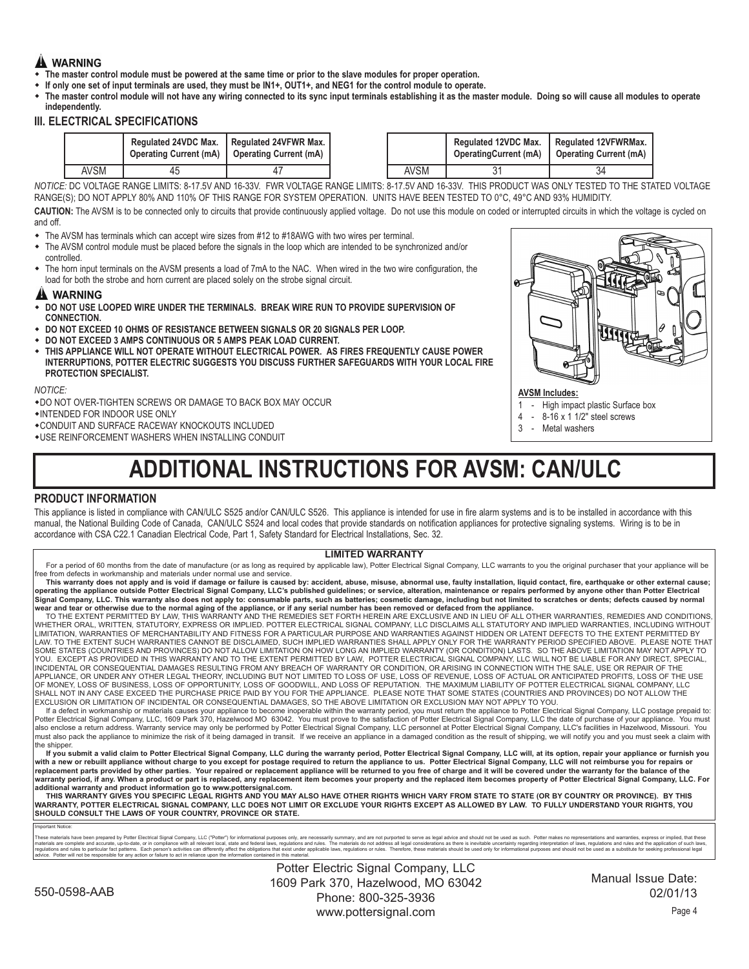# **A** WARNING

- The master control module must be powered at the same time or prior to the slave modules for proper operation.
- If only one set of input terminals are used, they must be IN1+, OUT1+, and NEG1 for the control module to operate.
- The master control module will not have any wiring connected to its sync input terminals establishing it as the master module. Doing so will cause all modules to operate **independently.**

# **III. ELECTRICAL SPECIFICATIONS**

|      | <b>Regulated 24VDC Max.</b> | I Regulated 24VFWR Max.<br>Operating Current (mA)   Operating Current (mA) |      | <b>Regulated 12VDC Max.</b><br>OperatingCurrent (mA) | Regulated 12VFWRMax.<br><b>Operating Current (mA)</b> |
|------|-----------------------------|----------------------------------------------------------------------------|------|------------------------------------------------------|-------------------------------------------------------|
| AVSM | 45                          |                                                                            | AVSM |                                                      |                                                       |

*NOTICE:* DC VOLTAGE RANGE LIMITS: 8-17.5V AND 16-33V. FWR VOLTAGE RANGE LIMITS: 8-17.5V AND 16-33V. THIS PRODUCT WAS ONLY TESTED TO THE STATED VOLTAGE RANGE(S); DO NOT APPLY 80% AND 110% OF THIS RANGE FOR SYSTEM OPERATION. UNITS HAVE BEEN TESTED TO 0°C, 49°C AND 93% HUMIDITY.

CAUTION: The AVSM is to be connected only to circuits that provide continuously applied voltage. Do not use this module on coded or interrupted circuits in which the voltage is cycled on and off.

- The AVSM has terminals which can accept wire sizes from #12 to #18AWG with two wires per terminal.<br>◆ The AVSM control module must be placed before the signals in the loop which are intended to be synch
- The AVSM control module must be placed before the signals in the loop which are intended to be synchronized and/or controlled.
- The horn input terminals on the AVSM presents a load of 7mA to the NAC. When wired in the two wire configuration, the load for both the strobe and horn current are placed solely on the strobe signal circuit.

# A WARNING

- w **DO NOT USE LOOPED WIRE UNDER THE TERMINALS. BREAK WIRE RUN TO PROVIDE SUPERVISION OF CONNECTION.**
- w **DO NOT EXCEED 10 OHMS OF RESISTANCE BETWEEN SIGNALS OR 20 SIGNALS PER LOOP.**
- w **DO NOT EXCEED 3 AMPS CONTINUOUS OR 5 AMPS PEAK LOAD CURRENT.**
- w **THIS APPLIANCE WILL NOT OPERATE WITHOUT ELECTRICAL POWER. AS FIRES FREQUENTLY CAUSE POWER INTERRUPTIONS, POTTER ELECTRIC SUGGESTS YOU DISCUSS FURTHER SAFEGUARDS WITH YOUR LOCAL FIRE PROTECTION SPECIALIST.**

#### *NOTICE:*

\* DO NOT OVER-TIGHTEN SCREWS OR DAMAGE TO BACK BOX MAY OCCUR

- wINTENDED FOR INDOOR USE ONLY
- \*CONDUIT AND SURFACE RACEWAY KNOCKOUTS INCLUDED
- $\bullet$  USE REINFORCEMENT WASHERS WHEN INSTALLING CONDUIT

# **ADDITIONAL INSTRUCTIONS FOR AVSM: CAN/ULC**

# **PRODUCT INFORMATION**

This appliance is listed in compliance with CAN/ULC S525 and/or CAN/ULC S526. This appliance is intended for use in fire alarm systems and is to be installed in accordance with this manual, the National Building Code of Canada, CAN/ULC S524 and local codes that provide standards on notification appliances for protective signaling systems. Wiring is to be in accordance with CSA C22.1 Canadian Electrical Code, Part 1, Safety Standard for Electrical Installations, Sec. 32.

#### **LIMITED WARRANTY**

For a period of 60 months from the date of manufacture (or as long as required by applicable law), Potter Electrical Signal Company, LLC warrants to you the original purchaser that your appliance will be free from defects in workmanship and materials under normal use and service.

This warranty does not apply and is void if damage or failure is caused by: accident, abuse, misuse, abnormal use, faulty installation, liquid contact, fire, earthquake or other external cause; operating the appliance outside Potter Electrical Signal Company, LLC's published guidelines; or service, alteration, maintenance or repairs performed by anyone other than Potter Electrical Signal Company, LLC. This warranty also does not apply to: consumable parts, such as batteries; cosmetic damage, including but not limited to scratches or dents; defects caused by normal<br>wear and tear or otherwise due to t

, TO THE EXTENT PERMITTED BY LAW, THIS WARRANTY AND THE REMEDIES SET FORTH HEREIN ARE EXCLUSIVE AND IN LIEU OF ALL OTHER WARRANTIES, REMEDIES AND CONDITIONS<br>WHETHER ORAL, WRITTEN, STATUTORY, EXPRESS OR IMPLIED. POTTER ELEC LIMITATION, WARRANTIES OF MERCHANTABILITY AND FITNESS FOR A PARTICULAR PURPOSE AND WARRANTIES AGAINST HIDDEN OR LATENT DEFECTS TO THE EXTENT PERMITTED BY LAW. TO THE EXTENT SUCH WARRANTIES CANNOT BE DISCLAIMED, SUCH IMPLIED WARRANTIES SHALL APPLY ONLY FOR THE WARRANTY PERIOD SPECIFIED ABOVE. PLEASE NOTE THAT<br>SOME STATES (COUNTRIES AND PROVINCES) DO NOT ALLOW LIMITATION ON H YOU. EXCEPT AS PROVIDED IN THIS WARRANTY AND TO THE EXTENT PERMITTED BY LAW, POTTER ELECTRICAL SIGNAL COMPANY, LLC WILL NOT BE LIABLE FOR ANY DIRECT, SPECIAL, INCIDENTAL OR CONSEQUENTIAL DAMAGES RESULTING FROM ANY BREACH OF WARRANTY OR CONDITION, OR ARISING IN CONNECTION WITH THE SALE, USE OR REPAIR OF THE<br>APPLIANCE, OR UNDER ANY OTHER LEGAL THEORY, INCLUDING BUT NOT LIMITED TO OF MONEY, LOSS OF BUSINESS, LOSS OF OPPORTUNITY, LOSS OF GOODWILL, AND LOSS OF REPUTATION. THE MAXIMUM LIABILITY OF POTTER ELECTRICAL SIGNAL COMPANY, LLC SHALL NOT IN ANY CASE EXCEED THE PURCHASE PRICE PAID BY YOU FOR THE APPLIANCE. PLEASE NOTE THAT SOME STATES (COUNTRIES AND PROVINCES) DO NOT ALLOW THE<br>EXCLUSION OR LIMITATION OF INCIDENTAL OR CONSEQUENTIAL DAMAGES, SO THE

If a defect in workmanship or materials causes your appliance to become inoperable within the warranty period, you must return the appliance to Potter Electrical Signal Company, LLC postage prepaid to: Potter Electrical Signal Company, LLC, 1609 Park 370, Hazelwood MO 63042. You must prove to the satisfaction of Potter Electrical Signal Company, LLC the date of purchase of your appliance. You must<br>also enclose a return must also pack the appliance to minimize the risk of it being damaged in transit. If we receive an appliance in a damaged condition as the result of shipping, we will notify you and you must seek a claim with the shipper.

lf you submit a valid claim to Potter Electrical Signal Company, LLC during the warranty period, Potter Electrical Signal Company, LLC will, at its option, repair your appliance or furnish you وlith a new or rebuilt applia replacement parts provided by other parties. Your repaired or replacement appliance will be returned to you free of charge and it will be covered under the warranty for the balance of the warranty period, if any. When a product or part is replaced, any replacement item becomes your property and the replaced item becomes property of Potter Electrical Signal Company, LLC. For **additional warranty and product information go to www.pottersignal.com.**

THIS WARRANTY GIVES YOU SPECIFIC LEGAL RIGHTS AND YOU MAY ALSO HAVE OTHER RIGHTS WHICH VARY FROM STATE TO STATE (OR BY COUNTRY OR PROVINCE). BY THIS WARRANTY, POTTER ELECTRICAL SIGNAL COMPANY, LLC DOES NOT LIMIT OR EXCLUDE YOUR RIGHTS EXCEPT AS ALLOWED BY LAW. TO FULLY UNDERSTAND YOUR RIGHTS, YOU **SHOULD CONSULT THE LAWS OF YOUR COUNTRY, PROVINCE OR STATE.**

#### Important Notice:

These materials have been repared by Potter Electrical Signal Company. LLC ("Potter) for informational puroses only, are necessanily summany, and are on tustomate and subset all the set of the constant summand in the set o

Potter Electric Signal Company, LLC 1609 Park 370, Hazelwood, MO 63042 Phone: 800-325-3936 www.pottersignal.com



#### **AVSM Includes:**

- 1 High impact plastic Surface box
- $-8-16 \times 11/2$ " steel screws
- 3 Metal washers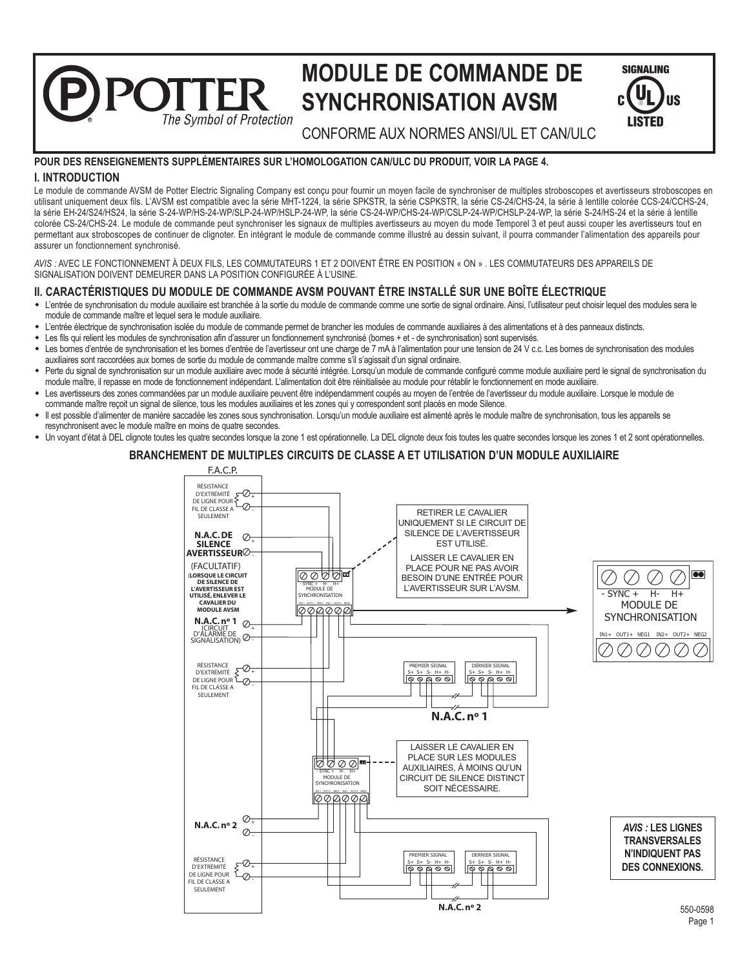# **MODULE DE COMMANDE DE SYNCHRONISATION AVSM**

| <b>SIGNALING</b>     |
|----------------------|
| r.<br>'IIS<br>LISTED |

The Symbol of Protection CONFORME AUX NORMES ANSI/UL ET CAN/ULC

# **POUR DES RENSEIGNEMENTS SUPPLÉMENTAIRES SUR L'HOMOLOGATION CAN/ULC DU PRODUIT, VOIR LA PAGE 4.**

# **I. INTRODUCTION**

 $\bigcap$ 

Le module de commande AVSM de Potter Electric Signaling Company est conçu pour fournir un moyen facile de synchroniser de multiples stroboscopes et avertisseurs stroboscopes en utilisant uniquement deux fils. L'AVSM est compatible avec la série MHT-1224, la série SPKSTR, la série CSPKSTR, la série CS-24/CHS-24, la série à lentille colorée CCS-24/CCHS-24, la série EH-24/S24/HS24, la série S-24-WP/HS-24-WP/SLP-24-WP/HSLP-24-WP, la série CS-24-WP/CHS-24-WP/CSLP-24-WP/CHSLP-24-WP, la série S-24/HS-24 et la série à lentille colorée CS-24/CHS-24. Le module de commande peut synchroniser les signaux de multiples avertisseurs au moyen du mode Temporel 3 et peut aussi couper les avertisseurs tout en permettant aux stroboscopes de continuer de clignoter. En intégrant le module de commande comme illustré au dessin suivant, il pourra commander l'alimentation des appareils pour assurer un fonctionnement synchronisé.

*AVIS :* AVEC LE FONCTIONNEMENT À DEUX FILS, LES COMMUTATEURS 1 ET 2 DOIVENT ÊTRE EN POSITION « ON » . LES COMMUTATEURS DES APPAREILS DE SIGNALISATION DOIVENT DEMEURER DANS LA POSITION CONFIGURÉE À L'USINE.

# **II. CARACTÉRISTIQUES DU MODULE DE COMMANDE AVSM POUVANT ÊTRE INSTALLÉ SUR UNE BOÎTE ÉLECTRIQUE**

- w L'entrée de synchronisation du module auxiliaire est branchée à la sortie du module de commande comme une sortie de signal ordinaire. Ainsi, l'utilisateur peut choisir lequel des modules sera le module de commande maître et lequel sera le module auxiliaire.
- w L'entrée électrique de synchronisation isolée du module de commande permet de brancher les modules de commande auxiliaires à des alimentations et à des panneaux distincts.
- w Les fils qui relient les modules de synchronisation afin d'assurer un fonctionnement synchronisé (bornes + et de synchronisation) sont supervisés.
- Les bornes d'entrée de synchronisation et les bornes d'entrée de l'avertisseur ont une charge de 7 mA à l'alimentation pour une tension de 24 V c.c. Les bornes de synchronisation des modules auxiliaires sont raccordées aux bornes de sortie du module de commande maître comme s'il s'agissait d'un signal ordinaire.
- w Perte du signal de synchronisation sur un module auxiliaire avec mode à sécurité intégrée. Lorsqu'un module de commande configuré comme module auxiliaire perd le signal de synchronisation du module maître, il repasse en mode de fonctionnement indépendant. L'alimentation doit être réinitialisée au module pour rétablir le fonctionnement en mode auxiliaire.
- Les avertisseurs des zones commandées par un module auxiliaire peuvent être indépendamment coupés au moyen de l'entrée de l'avertisseur du module auxiliaire. Lorsque le module de commande maître reçoit un signal de silence, tous les modules auxiliaires et les zones qui y correspondent sont placés en mode Silence.
- Il est possible d'alimenter de manière saccadée les zones sous synchronisation. Lorsqu'un module auxiliaire est alimenté après le module maître de synchronisation, tous les appareils se resynchronisent avec le module maître en moins de quatre secondes.
- w Un voyant d'état à DEL clignote toutes les quatre secondes lorsque la zone 1 est opérationnelle. La DEL clignote deux fois toutes les quatre secondes lorsque les zones 1 et 2 sont opérationnelles.

# **BRANCHEMENT DE MULTIPLES CIRCUITS DE CLASSE A ET UTILISATION D'UN MODULE AUXILIAIRE**

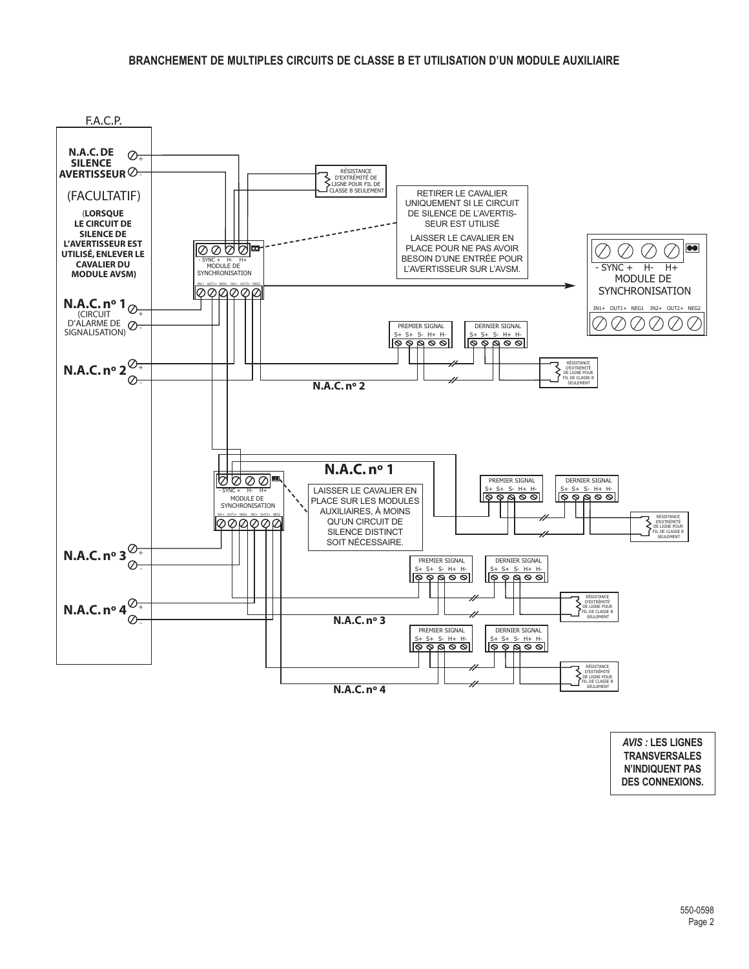

*AVIS :* **LES LIGNES TRANSVERSALES N'INDIQUENT PAS DES CONNEXIONS.**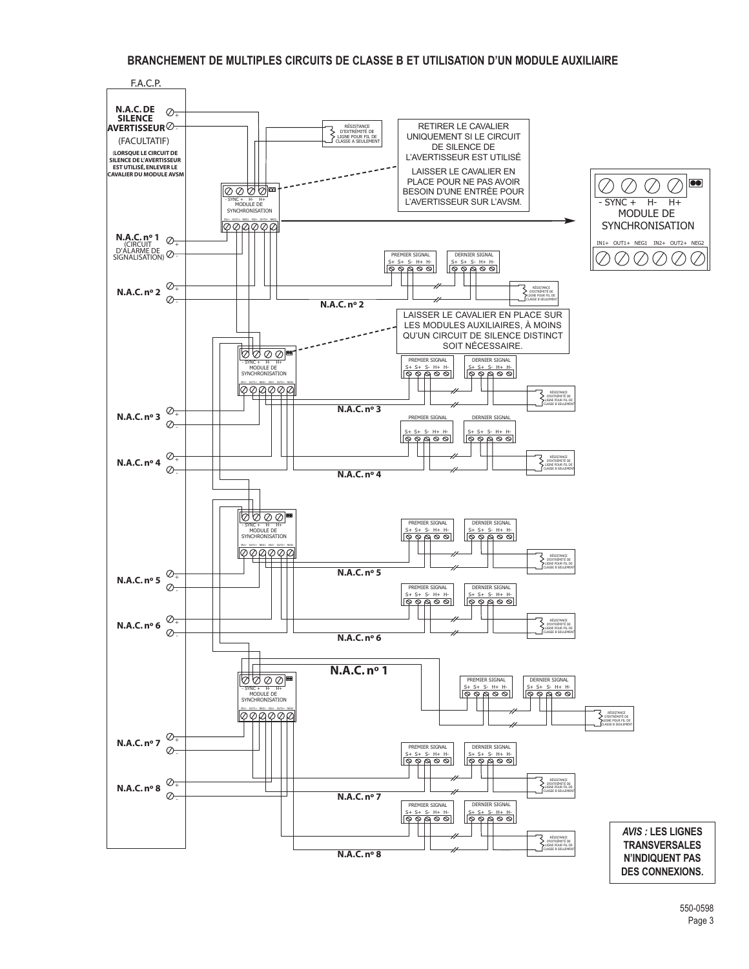# **BRANCHEMENT DE MULTIPLES CIRCUITS DE CLASSE B ET UTILISATION D'UN MODULE AUXILIAIRE**